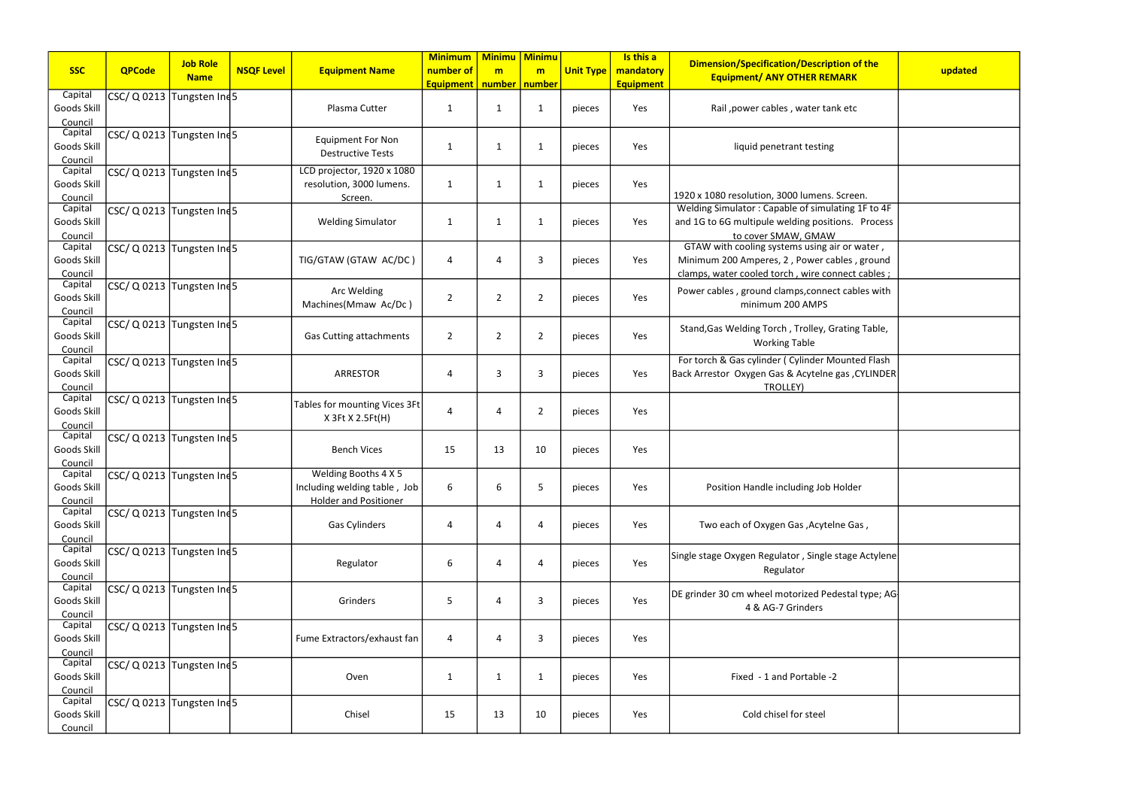|                        |                               | <b>Job Role</b> |                   |                                | <b>Minimum</b>   | <b>Minimu</b>   | <b>Minimu</b>  |                  | Is this a        | <b>Dimension/Specification/Description of the</b>    |         |
|------------------------|-------------------------------|-----------------|-------------------|--------------------------------|------------------|-----------------|----------------|------------------|------------------|------------------------------------------------------|---------|
| <b>SSC</b>             | <b>QPCode</b>                 | <b>Name</b>     | <b>NSQF Level</b> | <b>Equipment Name</b>          | number of        | m               | m              | <b>Unit Type</b> | mandatory        | <b>Equipment/ ANY OTHER REMARK</b>                   | updated |
|                        |                               |                 |                   |                                | <b>Equipment</b> | number   number |                |                  | <b>Equipment</b> |                                                      |         |
| Capital<br>Goods Skill | CSC/ Q 0213 Tungsten Ind5     |                 |                   | Plasma Cutter                  | $\mathbf{1}$     | 1               | 1              | pieces           | Yes              | Rail, power cables, water tank etc                   |         |
| Council                |                               |                 |                   |                                |                  |                 |                |                  |                  |                                                      |         |
| Capital                | CSC/ Q 0213 Tungsten Ind 5    |                 |                   |                                |                  |                 |                |                  |                  |                                                      |         |
| Goods Skill            |                               |                 |                   | <b>Equipment For Non</b>       | 1                | $\mathbf 1$     | 1              | pieces           | Yes              | liquid penetrant testing                             |         |
| Council                |                               |                 |                   | <b>Destructive Tests</b>       |                  |                 |                |                  |                  |                                                      |         |
| Capital                | CSC/ Q 0213 Tungsten Ind5     |                 |                   | LCD projector, 1920 x 1080     |                  |                 |                |                  |                  |                                                      |         |
| Goods Skill            |                               |                 |                   | resolution, 3000 lumens.       | $\mathbf{1}$     | $\mathbf{1}$    | 1              | pieces           | Yes              |                                                      |         |
| Council                |                               |                 |                   | Screen.                        |                  |                 |                |                  |                  | 1920 x 1080 resolution, 3000 lumens. Screen.         |         |
| Capital                | CSC/ Q 0213 Tungsten Ind5     |                 |                   |                                |                  |                 |                |                  |                  | Welding Simulator: Capable of simulating 1F to 4F    |         |
| Goods Skill            |                               |                 |                   | <b>Welding Simulator</b>       | $\mathbf{1}$     | $\mathbf{1}$    | $\mathbf 1$    | pieces           | Yes              | and 1G to 6G multipule welding positions. Process    |         |
| Council                |                               |                 |                   |                                |                  |                 |                |                  |                  | to cover SMAW, GMAW                                  |         |
| Capital                | CSC/ Q 0213 Tungsten Ind 5    |                 |                   |                                |                  |                 |                |                  |                  | GTAW with cooling systems using air or water,        |         |
| Goods Skill            |                               |                 |                   | TIG/GTAW (GTAW AC/DC)          | 4                | 4               | 3              | pieces           | Yes              | Minimum 200 Amperes, 2, Power cables, ground         |         |
| Council                |                               |                 |                   |                                |                  |                 |                |                  |                  | clamps, water cooled torch, wire connect cables;     |         |
| Capital                | CSC/ Q 0213 Tungsten Ind5     |                 |                   | Arc Welding                    |                  |                 |                |                  |                  | Power cables, ground clamps, connect cables with     |         |
| Goods Skill            |                               |                 |                   | Machines(Mmaw Ac/Dc)           | $\overline{2}$   | $\overline{2}$  | 2              | pieces           | Yes              | minimum 200 AMPS                                     |         |
| Council<br>Capital     |                               |                 |                   |                                |                  |                 |                |                  |                  |                                                      |         |
| Goods Skill            | CSC/ Q 0213 Tungsten Ind5     |                 |                   | <b>Gas Cutting attachments</b> | $\overline{2}$   | $\overline{2}$  | $\overline{2}$ | pieces           | Yes              | Stand, Gas Welding Torch, Trolley, Grating Table,    |         |
| Council                |                               |                 |                   |                                |                  |                 |                |                  |                  | <b>Working Table</b>                                 |         |
| Capital                | CSC/ Q 0213 Tungsten Ind 5    |                 |                   |                                |                  |                 |                |                  |                  | For torch & Gas cylinder (Cylinder Mounted Flash     |         |
| Goods Skill            |                               |                 |                   | <b>ARRESTOR</b>                | 4                | 3               | 3              | pieces           | Yes              | Back Arrestor Oxygen Gas & Acytelne gas, CYLINDER    |         |
| Council                |                               |                 |                   |                                |                  |                 |                |                  |                  | TROLLEY)                                             |         |
| Capital                | CSC/ Q 0213 Tungsten Ind5     |                 |                   | Tables for mounting Vices 3Ft  |                  |                 |                |                  |                  |                                                      |         |
| Goods Skill            |                               |                 |                   | X 3Ft X 2.5Ft(H)               | 4                | 4               | 2              | pieces           | Yes              |                                                      |         |
| Council                |                               |                 |                   |                                |                  |                 |                |                  |                  |                                                      |         |
| Capital                | CSC/ Q 0213 Tungsten Ind 5    |                 |                   |                                |                  |                 |                |                  |                  |                                                      |         |
| Goods Skill            |                               |                 |                   | <b>Bench Vices</b>             | 15               | 13              | 10             | pieces           | Yes              |                                                      |         |
| Council                |                               |                 |                   |                                |                  |                 |                |                  |                  |                                                      |         |
| Capital                | $\csc$ / Q 0213 Tungsten Ind5 |                 |                   | Welding Booths 4 X 5           |                  |                 |                |                  |                  |                                                      |         |
| Goods Skill            |                               |                 |                   | Including welding table, Job   | 6                | 6               | 5              | pieces           | Yes              | Position Handle including Job Holder                 |         |
| Council<br>Capital     |                               |                 |                   | <b>Holder and Positioner</b>   |                  |                 |                |                  |                  |                                                      |         |
| Goods Skill            | CSC/ Q 0213 Tungsten Ind5     |                 |                   | Gas Cylinders                  | 4                | 4               | $\overline{a}$ | pieces           | Yes              | Two each of Oxygen Gas, Acytelne Gas,                |         |
| Council                |                               |                 |                   |                                |                  |                 |                |                  |                  |                                                      |         |
| Capital                | CSC/ Q 0213 Tungsten Ind5     |                 |                   |                                |                  |                 |                |                  |                  |                                                      |         |
| Goods Skill            |                               |                 |                   | Regulator                      | 6                | 4               | 4              | pieces           | Yes              | Single stage Oxygen Regulator, Single stage Actylene |         |
| Council                |                               |                 |                   |                                |                  |                 |                |                  |                  | Regulator                                            |         |
| Capital                | CSC/ Q 0213 Tungsten Ind5     |                 |                   |                                |                  |                 |                |                  |                  | DE grinder 30 cm wheel motorized Pedestal type; AG   |         |
| Goods Skill            |                               |                 |                   | Grinders                       | 5                | 4               | 3              | pieces           | Yes              | 4 & AG-7 Grinders                                    |         |
| Council                |                               |                 |                   |                                |                  |                 |                |                  |                  |                                                      |         |
| Capital                | CSC/ Q 0213 Tungsten Ind 5    |                 |                   |                                |                  |                 |                |                  |                  |                                                      |         |
| Goods Skill            |                               |                 |                   | Fume Extractors/exhaust fan    | 4                | 4               | 3              | pieces           | Yes              |                                                      |         |
| Council                |                               |                 |                   |                                |                  |                 |                |                  |                  |                                                      |         |
| Capital                | CSC/ Q 0213 Tungsten Ind5     |                 |                   |                                |                  |                 |                |                  |                  |                                                      |         |
| Goods Skill            |                               |                 |                   | Oven                           | 1                | $\mathbf{1}$    | $\mathbf{1}$   | pieces           | Yes              | Fixed - 1 and Portable -2                            |         |
| Council<br>Capital     |                               |                 |                   |                                |                  |                 |                |                  |                  |                                                      |         |
| Goods Skill            | CSC/ Q 0213 Tungsten Ind5     |                 |                   | Chisel                         | 15               | 13              | 10             |                  | Yes              | Cold chisel for steel                                |         |
|                        |                               |                 |                   |                                |                  |                 |                | pieces           |                  |                                                      |         |
| Council                |                               |                 |                   |                                |                  |                 |                |                  |                  |                                                      |         |

| of the<br>K                             | updated |
|-----------------------------------------|---------|
| c                                       |         |
|                                         |         |
| en.                                     |         |
| $\frac{1}{3}$ 1F to 4F<br>Process       |         |
| water,<br>, ground<br><u>t cables ;</u> |         |
| bles with                               |         |
| ng Table,                               |         |
| ted Flash<br>CYLINDER,                  |         |
|                                         |         |
|                                         |         |
| er                                      |         |
| ias ,                                   |         |
| e Actylene                              |         |
| al type; AG <sup>.</sup>                |         |
|                                         |         |
|                                         |         |
|                                         |         |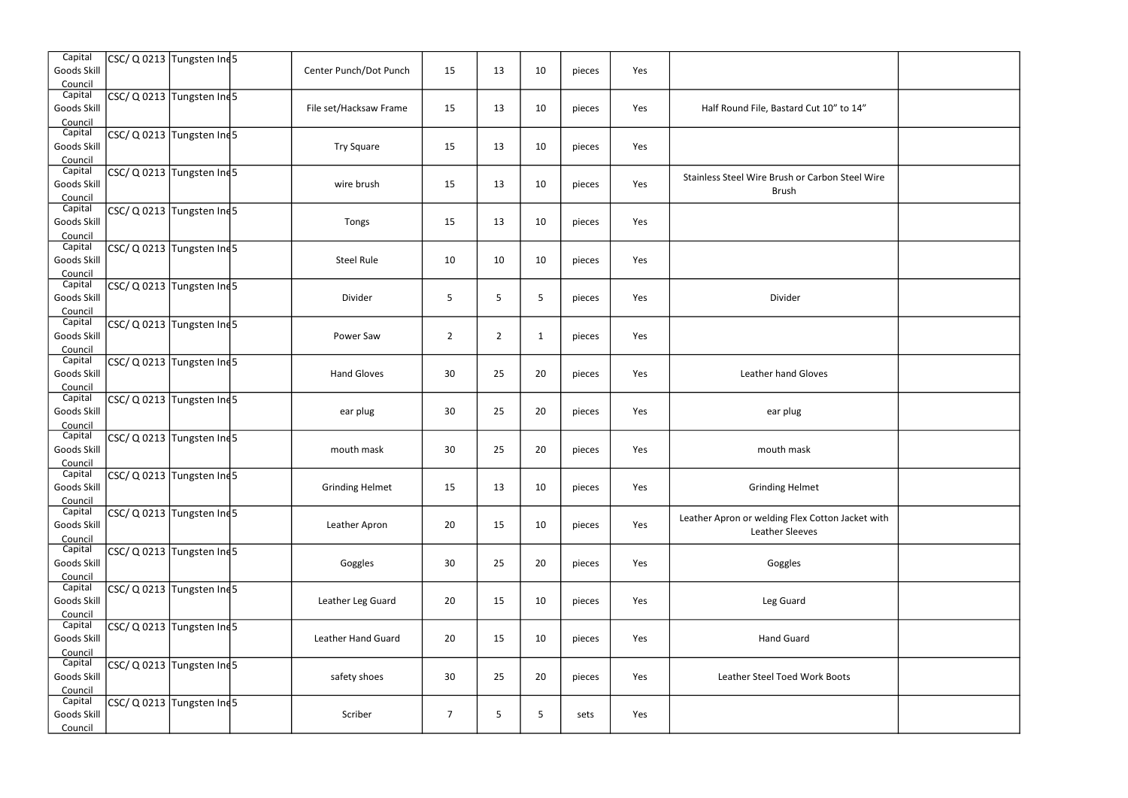| File, Bastard Cut 10" to 14"                         |  |
|------------------------------------------------------|--|
|                                                      |  |
| Vire Brush or Carbon Steel Wire<br><b>Brush</b>      |  |
|                                                      |  |
|                                                      |  |
| Divider                                              |  |
|                                                      |  |
| ather hand Gloves                                    |  |
| ear plug                                             |  |
| mouth mask                                           |  |
| Grinding Helmet                                      |  |
| r welding Flex Cotton Jacket with<br>Leather Sleeves |  |
| Goggles                                              |  |
| Leg Guard                                            |  |
| <b>Hand Guard</b>                                    |  |
| <b>Steel Toed Work Boots</b>                         |  |
|                                                      |  |
|                                                      |  |

| Capital<br>Goods Skill<br>Council        | $CSC/Q$ Q 0213 Tungsten Ind5  | Center Punch/Dot Punch | 15             | 13             | 10           | pieces | Yes |                                                                     |  |
|------------------------------------------|-------------------------------|------------------------|----------------|----------------|--------------|--------|-----|---------------------------------------------------------------------|--|
| Capital<br>Goods Skill<br>Council        | $CSC/Q$ Q 0213 Tungsten Ind 5 | File set/Hacksaw Frame | 15             | 13             | 10           | pieces | Yes | Half Round File, Bastard Cut 10" to 14"                             |  |
| Capital<br>Goods Skill<br>Council        | CSC/ Q 0213 Tungsten Ind5     | <b>Try Square</b>      | 15             | 13             | 10           | pieces | Yes |                                                                     |  |
| Capital<br>Goods Skill<br>Council        | CSC/ Q 0213 Tungsten Ind5     | wire brush             | 15             | 13             | 10           | pieces | Yes | Stainless Steel Wire Brush or Carbon Steel Wire<br><b>Brush</b>     |  |
| Capital<br>Goods Skill<br>Council        | $CSC/Q$ Q 0213 Tungsten Ind 5 | Tongs                  | 15             | 13             | 10           | pieces | Yes |                                                                     |  |
| Capital<br>Goods Skill<br>Council        | CSC/ Q 0213 Tungsten Ind5     | <b>Steel Rule</b>      | 10             | 10             | 10           | pieces | Yes |                                                                     |  |
| Capital<br>Goods Skill<br>Council        | CSC/ Q 0213 Tungsten Ind5     | Divider                | 5              | 5              | 5            | pieces | Yes | Divider                                                             |  |
| Capital<br>Goods Skill<br>Council        | $CSC/Q$ Q 0213 Tungsten Ind 5 | Power Saw              | $\overline{2}$ | $\overline{2}$ | $\mathbf{1}$ | pieces | Yes |                                                                     |  |
| Capital<br>Goods Skill<br>Council        | CSC/ Q 0213 Tungsten Ind5     | <b>Hand Gloves</b>     | 30             | 25             | 20           | pieces | Yes | Leather hand Gloves                                                 |  |
| Capital<br>Goods Skill<br>Council        | CSC/ Q 0213 Tungsten Ind5     | ear plug               | 30             | 25             | 20           | pieces | Yes | ear plug                                                            |  |
| Capital<br><b>Goods Skill</b><br>Council | $CSC/Q$ Q 0213 Tungsten Ind 5 | mouth mask             | 30             | 25             | 20           | pieces | Yes | mouth mask                                                          |  |
| Capital<br>Goods Skill<br>Council        | CSC/ Q 0213 Tungsten Ind5     | <b>Grinding Helmet</b> | 15             | 13             | 10           | pieces | Yes | <b>Grinding Helmet</b>                                              |  |
| Capital<br>Goods Skill<br>Council        | CSC/ Q 0213 Tungsten Ind5     | Leather Apron          | 20             | 15             | 10           | pieces | Yes | Leather Apron or welding Flex Cotton Jacket with<br>Leather Sleeves |  |
| Capital<br>Goods Skill<br>Council        | $CSC/Q$ Q 0213 Tungsten Ind 5 | Goggles                | 30             | 25             | 20           | pieces | Yes | Goggles                                                             |  |
| Capital<br>Goods Skill<br>Council        | CSC/ Q 0213 Tungsten Ind5     | Leather Leg Guard      | 20             | 15             | 10           | pieces | Yes | Leg Guard                                                           |  |
| Capital<br>Goods Skill<br>Council        | $CSC/Q$ Q 0213 Tungsten Ind 5 | Leather Hand Guard     | 20             | 15             | 10           | pieces | Yes | <b>Hand Guard</b>                                                   |  |
| Capital<br>Goods Skill<br>Council        | $CSC/Q$ Q 0213 Tungsten Ind 5 | safety shoes           | 30             | 25             | 20           | pieces | Yes | Leather Steel Toed Work Boots                                       |  |
| Capital<br>Goods Skill<br>Council        | CSC/ Q 0213 Tungsten Ind5     | Scriber                | $\overline{7}$ | $\mathsf S$    | 5            | sets   | Yes |                                                                     |  |